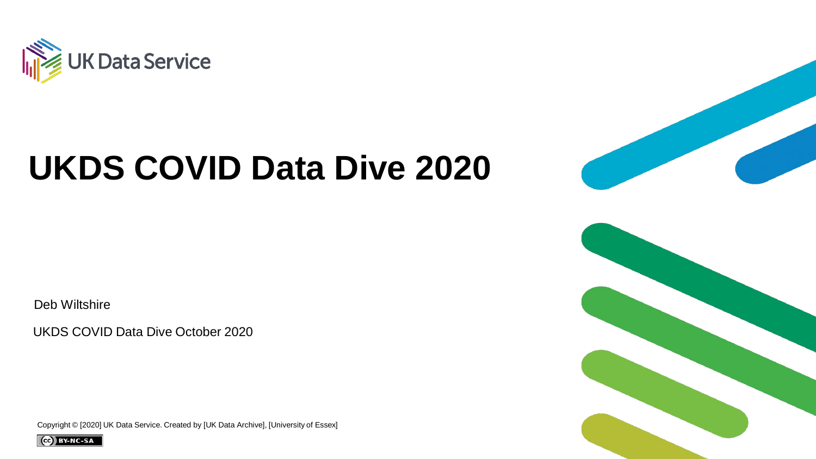

### **UKDS COVID Data Dive 2020**

Deb Wiltshire

UKDS COVID Data Dive October 2020

Copyright © [2020] UK Data Service. Created by [UK Data Archive], [University of Essex]



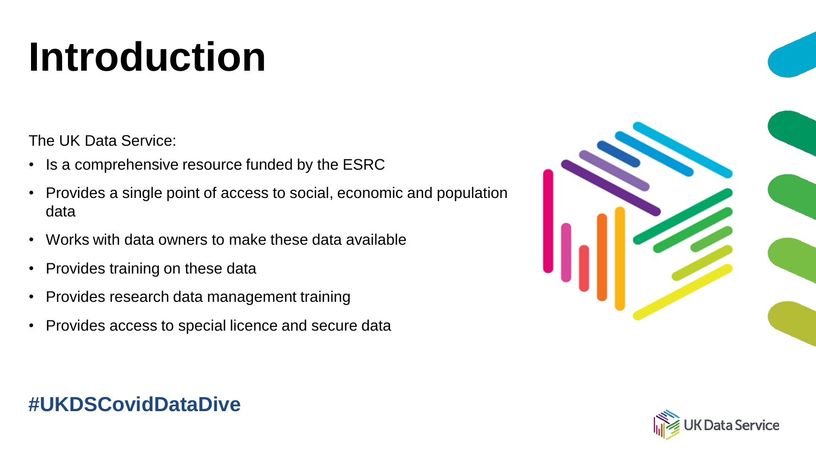# **Introduction**

The UK Data Service:

- Is a comprehensive resource funded by the ESRC
- Provides a single point of access to social, economic and population data
- Works with data owners to make these data available
- Provides training on these data
- Provides research data management training
- Provides access to special licence and secure data

#### **#UKDSCovidDataDive**



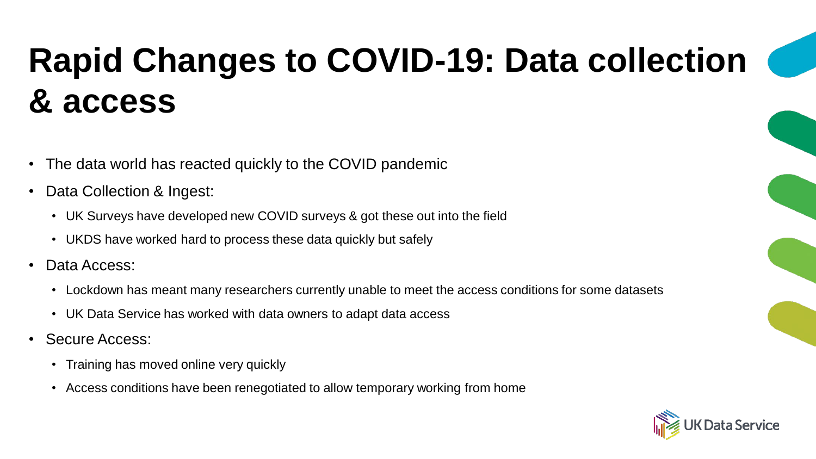# **Rapid Changes to COVID-19: Data collection & access**

- The data world has reacted quickly to the COVID pandemic
- Data Collection & Ingest:
	- UK Surveys have developed new COVID surveys & got these out into the field
	- UKDS have worked hard to process these data quickly but safely
- Data Access:
	- Lockdown has meant many researchers currently unable to meet the access conditions for some datasets
	- UK Data Service has worked with data owners to adapt data access
- Secure Access:
	- Training has moved online very quickly
	- Access conditions have been renegotiated to allow temporary working from home

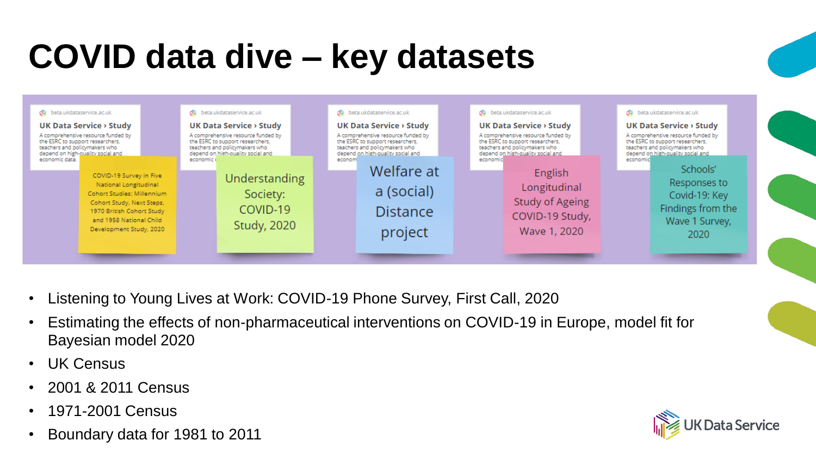# **COVID data dive – key datasets**



- Listening to Young Lives at Work: COVID-19 Phone Survey, First Call, 2020
- Estimating the effects of non-pharmaceutical interventions on COVID-19 in Europe, model fit for Bayesian model 2020
- UK Census
- 2001 & 2011 Census
- 1971-2001 Census
- Boundary data for 1981 to 2011

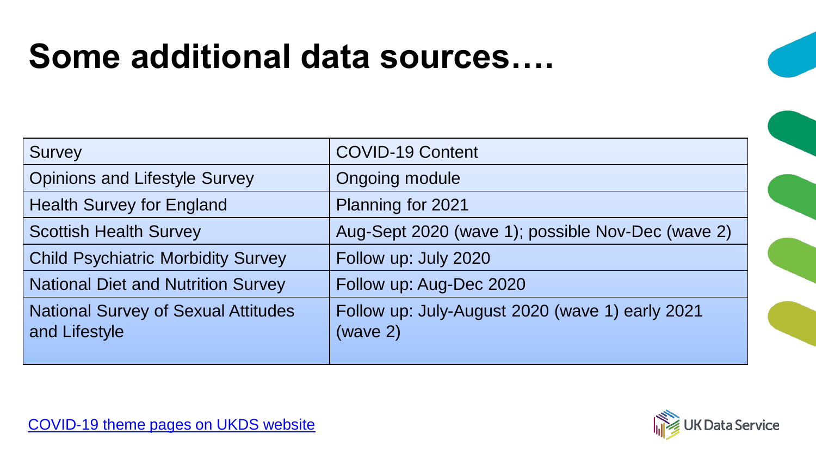### **Some additional data sources….**

| <b>Survey</b>                                               | <b>COVID-19 Content</b>                                     |
|-------------------------------------------------------------|-------------------------------------------------------------|
| <b>Opinions and Lifestyle Survey</b>                        | <b>Ongoing module</b>                                       |
| <b>Health Survey for England</b>                            | Planning for 2021                                           |
| <b>Scottish Health Survey</b>                               | Aug-Sept 2020 (wave 1); possible Nov-Dec (wave 2)           |
| <b>Child Psychiatric Morbidity Survey</b>                   | Follow up: July 2020                                        |
| <b>National Diet and Nutrition Survey</b>                   | Follow up: Aug-Dec 2020                                     |
| <b>National Survey of Sexual Attitudes</b><br>and Lifestyle | Follow up: July-August 2020 (wave 1) early 2021<br>(wave 2) |

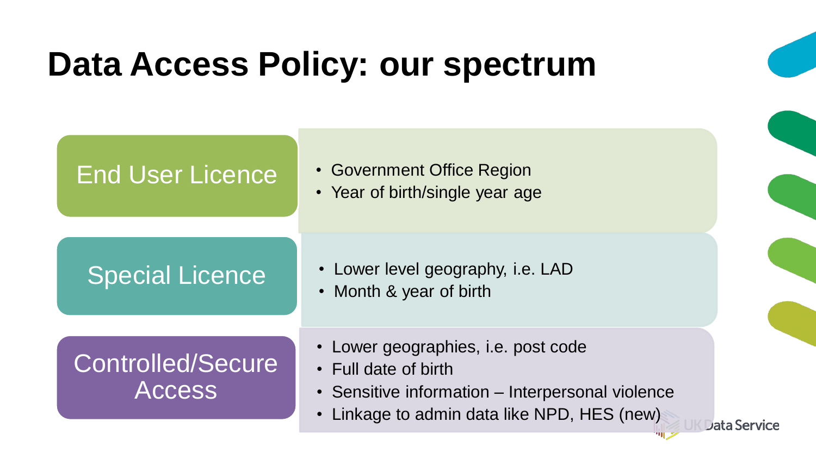### **Data Access Policy: our spectrum**

#### End User Licence

- Government Office Region
- Year of birth/single year age

#### Special Licence

- Lower level geography, i.e. LAD
- Month & year of birth

#### Controlled/Secure **Access**

- Lower geographies, i.e. post code
- Full date of birth
- Sensitive information Interpersonal violence

Data Service

• Linkage to admin data like NPD, HES (new)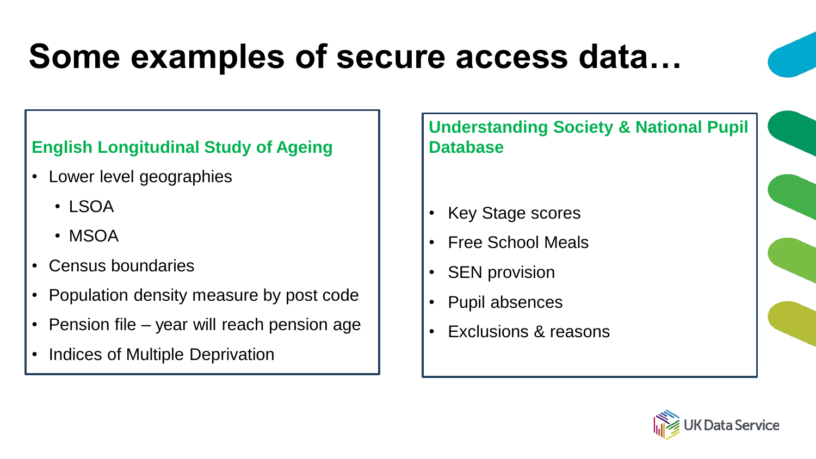# **Some examples of secure access data…**

#### **English Longitudinal Study of Ageing**

- Lower level geographies
	- LSOA
	- MSOA
- Census boundaries
- Population density measure by post code
- Pension file year will reach pension age
- Indices of Multiple Deprivation

**Understanding Society & National Pupil Database**

- Key Stage scores
- Free School Meals
- SEN provision
- Pupil absences
- Exclusions & reasons

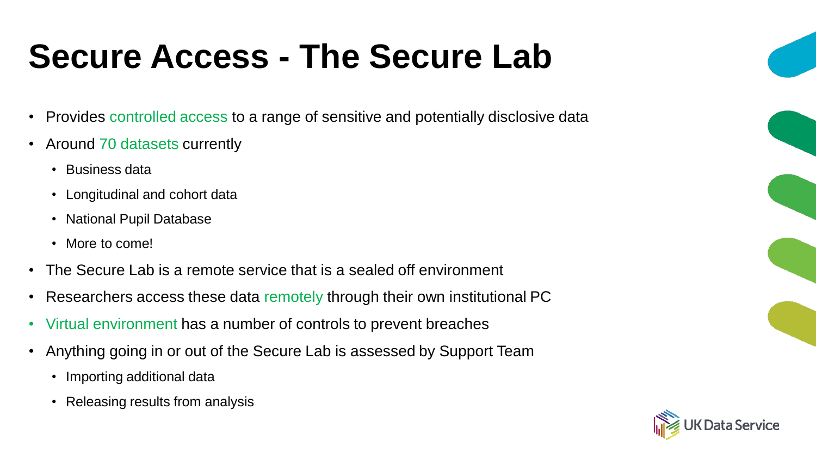# **Secure Access - The Secure Lab**

- Provides controlled access to a range of sensitive and potentially disclosive data
- Around 70 datasets currently
	- Business data
	- Longitudinal and cohort data
	- National Pupil Database
	- More to come!
- The Secure Lab is a remote service that is a sealed off environment
- Researchers access these data remotely through their own institutional PC
- Virtual environment has a number of controls to prevent breaches
- Anything going in or out of the Secure Lab is assessed by Support Team
	- Importing additional data
	- Releasing results from analysis

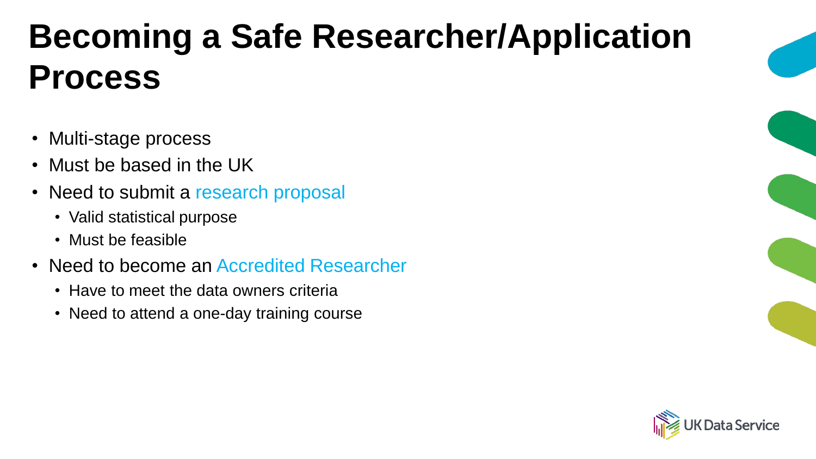# **Becoming a Safe Researcher/Application Process**

- Multi-stage process
- Must be based in the UK
- Need to submit a research proposal
	- Valid statistical purpose
	- Must be feasible
- Need to become an Accredited Researcher
	- Have to meet the data owners criteria
	- Need to attend a one-day training course